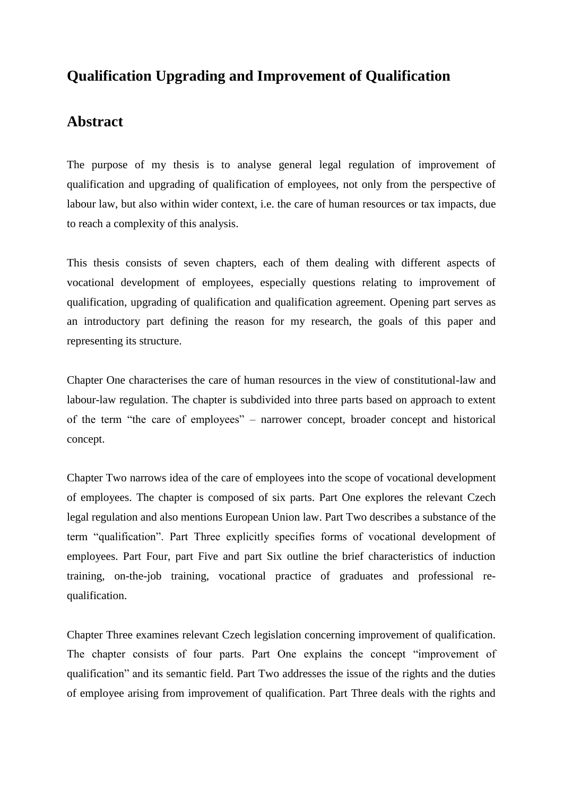## **Qualification Upgrading and Improvement of Qualification**

## **Abstract**

The purpose of my thesis is to analyse general legal regulation of improvement of qualification and upgrading of qualification of employees, not only from the perspective of labour law, but also within wider context, i.e. the care of human resources or tax impacts, due to reach a complexity of this analysis.

This thesis consists of seven chapters, each of them dealing with different aspects of vocational development of employees, especially questions relating to improvement of qualification, upgrading of qualification and qualification agreement. Opening part serves as an introductory part defining the reason for my research, the goals of this paper and representing its structure.

Chapter One characterises the care of human resources in the view of constitutional-law and labour-law regulation. The chapter is subdivided into three parts based on approach to extent of the term "the care of employees" – narrower concept, broader concept and historical concept.

Chapter Two narrows idea of the care of employees into the scope of vocational development of employees. The chapter is composed of six parts. Part One explores the relevant Czech legal regulation and also mentions European Union law. Part Two describes a substance of the term "qualification". Part Three explicitly specifies forms of vocational development of employees. Part Four, part Five and part Six outline the brief characteristics of induction training, on-the-job training, vocational practice of graduates and professional requalification.

Chapter Three examines relevant Czech legislation concerning improvement of qualification. The chapter consists of four parts. Part One explains the concept "improvement of qualification" and its semantic field. Part Two addresses the issue of the rights and the duties of employee arising from improvement of qualification. Part Three deals with the rights and